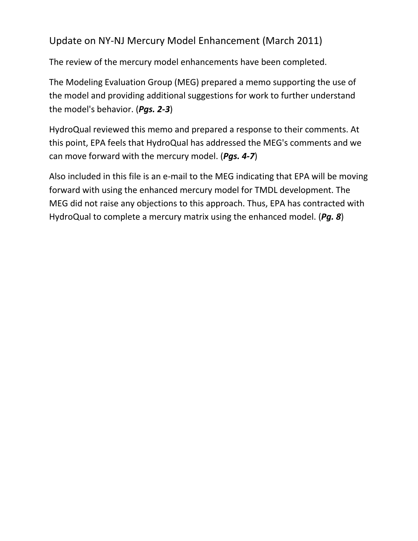## Update on NY-NJ Mercury Model Enhancement (March 2011)

The review of the mercury model enhancements have been completed.

The Modeling Evaluation Group (MEG) prepared a memo supporting the use of the model and providing additional suggestions for work to further understand the model's behavior. (*Pgs. 2-3*)

HydroQual reviewed this memo and prepared a response to their comments. At this point, EPA feels that HydroQual has addressed the MEG's comments and we can move forward with the mercury model. (*Pgs. 4-7*)

Also included in this file is an e-mail to the MEG indicating that EPA will be moving forward with using the enhanced mercury model for TMDL development. The MEG did not raise any objections to this approach. Thus, EPA has contracted with HydroQual to complete a mercury matrix using the enhanced model. (*Pg. 8*)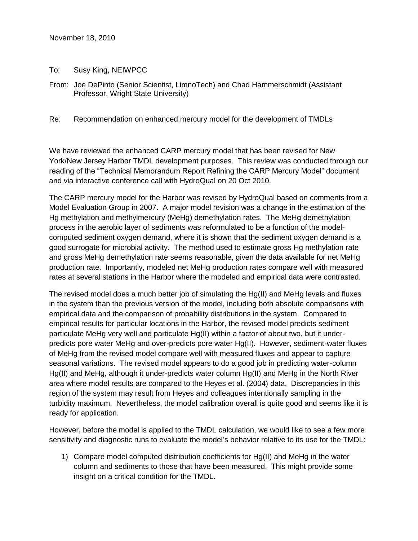November 18, 2010

To: Susy King, NEIWPCC

From: Joe DePinto (Senior Scientist, LimnoTech) and Chad Hammerschmidt (Assistant Professor, Wright State University)

Re: Recommendation on enhanced mercury model for the development of TMDLs

We have reviewed the enhanced CARP mercury model that has been revised for New York/New Jersey Harbor TMDL development purposes. This review was conducted through our reading of the "Technical Memorandum Report Refining the CARP Mercury Model" document and via interactive conference call with HydroQual on 20 Oct 2010.

The CARP mercury model for the Harbor was revised by HydroQual based on comments from a Model Evaluation Group in 2007. A major model revision was a change in the estimation of the Hg methylation and methylmercury (MeHg) demethylation rates. The MeHg demethylation process in the aerobic layer of sediments was reformulated to be a function of the modelcomputed sediment oxygen demand, where it is shown that the sediment oxygen demand is a good surrogate for microbial activity. The method used to estimate gross Hg methylation rate and gross MeHg demethylation rate seems reasonable, given the data available for net MeHg production rate. Importantly, modeled net MeHg production rates compare well with measured rates at several stations in the Harbor where the modeled and empirical data were contrasted.

The revised model does a much better job of simulating the Hg(II) and MeHg levels and fluxes in the system than the previous version of the model, including both absolute comparisons with empirical data and the comparison of probability distributions in the system. Compared to empirical results for particular locations in the Harbor, the revised model predicts sediment particulate MeHg very well and particulate Hg(II) within a factor of about two, but it underpredicts pore water MeHg and over-predicts pore water Hg(II). However, sediment-water fluxes of MeHg from the revised model compare well with measured fluxes and appear to capture seasonal variations. The revised model appears to do a good job in predicting water-column Hg(II) and MeHg, although it under-predicts water column Hg(II) and MeHg in the North River area where model results are compared to the Heyes et al. (2004) data. Discrepancies in this region of the system may result from Heyes and colleagues intentionally sampling in the turbidity maximum. Nevertheless, the model calibration overall is quite good and seems like it is ready for application.

However, before the model is applied to the TMDL calculation, we would like to see a few more sensitivity and diagnostic runs to evaluate the model's behavior relative to its use for the TMDL:

1) Compare model computed distribution coefficients for Hg(II) and MeHg in the water column and sediments to those that have been measured. This might provide some insight on a critical condition for the TMDL.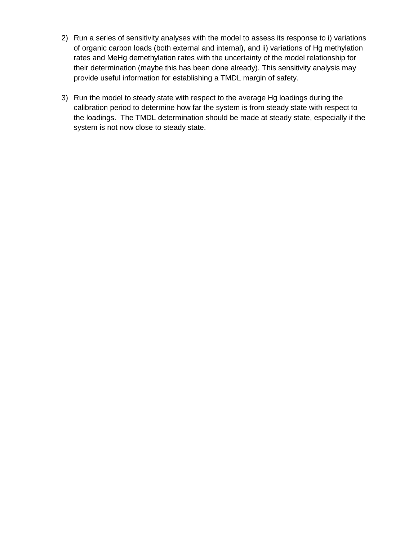- 2) Run a series of sensitivity analyses with the model to assess its response to i) variations of organic carbon loads (both external and internal), and ii) variations of Hg methylation rates and MeHg demethylation rates with the uncertainty of the model relationship for their determination (maybe this has been done already). This sensitivity analysis may provide useful information for establishing a TMDL margin of safety.
- 3) Run the model to steady state with respect to the average Hg loadings during the calibration period to determine how far the system is from steady state with respect to the loadings. The TMDL determination should be made at steady state, especially if the system is not now close to steady state.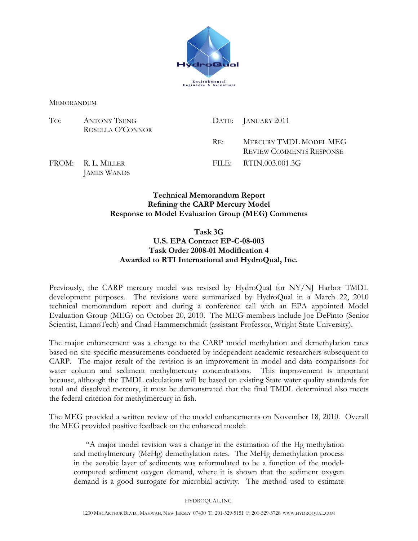

MEMORANDUM

| To: | ANTONY TSENG<br>ROSELLA O'CONNOR |               | DATE: JANUARY 2011                                        |
|-----|----------------------------------|---------------|-----------------------------------------------------------|
|     |                                  | $R_{\rm E}$ . | MERCURY TMDL MODEL MEG<br><b>REVIEW COMMENTS RESPONSE</b> |
|     | FROM: R.L. MILLER                |               | FILE: RTIN.003.001.3G                                     |

FROM: R. L. MILLER JAMES WANDS

## Technical Memorandum Report Refining the CARP Mercury Model Response to Model Evaluation Group (MEG) Comments

## Task 3G

## U.S. EPA Contract EP-C-08-003 Task Order 2008-01 Modification 4 Awarded to RTI International and HydroQual, Inc.

Previously, the CARP mercury model was revised by HydroQual for NY/NJ Harbor TMDL development purposes. The revisions were summarized by HydroQual in a March 22, 2010 technical memorandum report and during a conference call with an EPA appointed Model Evaluation Group (MEG) on October 20, 2010. The MEG members include Joe DePinto (Senior Scientist, LimnoTech) and Chad Hammerschmidt (assistant Professor, Wright State University).

The major enhancement was a change to the CARP model methylation and demethylation rates based on site specific measurements conducted by independent academic researchers subsequent to CARP. The major result of the revision is an improvement in model and data comparisons for water column and sediment methylmercury concentrations. This improvement is important because, although the TMDL calculations will be based on existing State water quality standards for total and dissolved mercury, it must be demonstrated that the final TMDL determined also meets the federal criterion for methylmercury in fish.

The MEG provided a written review of the model enhancements on November 18, 2010. Overall the MEG provided positive feedback on the enhanced model:

"A major model revision was a change in the estimation of the Hg methylation and methylmercury (MeHg) demethylation rates. The MeHg demethylation process in the aerobic layer of sediments was reformulated to be a function of the modelcomputed sediment oxygen demand, where it is shown that the sediment oxygen demand is a good surrogate for microbial activity. The method used to estimate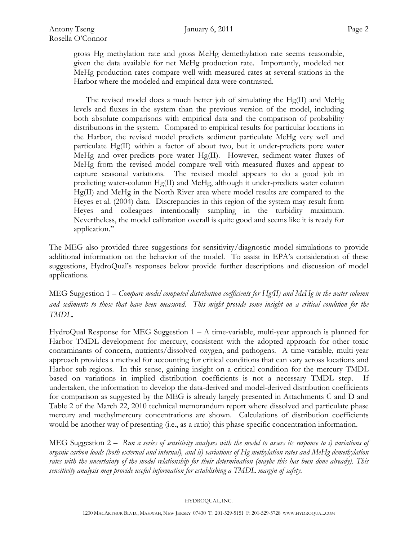gross Hg methylation rate and gross MeHg demethylation rate seems reasonable, given the data available for net MeHg production rate. Importantly, modeled net MeHg production rates compare well with measured rates at several stations in the Harbor where the modeled and empirical data were contrasted.

The revised model does a much better job of simulating the Hg(II) and MeHg levels and fluxes in the system than the previous version of the model, including both absolute comparisons with empirical data and the comparison of probability distributions in the system. Compared to empirical results for particular locations in the Harbor, the revised model predicts sediment particulate MeHg very well and particulate Hg(II) within a factor of about two, but it under-predicts pore water MeHg and over-predicts pore water  $Hg(II)$ . However, sediment-water fluxes of MeHg from the revised model compare well with measured fluxes and appear to capture seasonal variations. The revised model appears to do a good job in predicting water-column Hg(II) and MeHg, although it under-predicts water column Hg(II) and MeHg in the North River area where model results are compared to the Heyes et al. (2004) data. Discrepancies in this region of the system may result from Heyes and colleagues intentionally sampling in the turbidity maximum. Nevertheless, the model calibration overall is quite good and seems like it is ready for application."

The MEG also provided three suggestions for sensitivity/diagnostic model simulations to provide additional information on the behavior of the model. To assist in EPA's consideration of these suggestions, HydroQual's responses below provide further descriptions and discussion of model applications.

MEG Suggestion  $1 -$  Compare model computed distribution coefficients for Hg(II) and MeHg in the water column and sediments to those that have been measured. This might provide some insight on a critical condition for the TMDL.

HydroQual Response for MEG Suggestion  $1 - A$  time-variable, multi-year approach is planned for Harbor TMDL development for mercury, consistent with the adopted approach for other toxic contaminants of concern, nutrients/dissolved oxygen, and pathogens. A time-variable, multi-year approach provides a method for accounting for critical conditions that can vary across locations and Harbor sub-regions. In this sense, gaining insight on a critical condition for the mercury TMDL based on variations in implied distribution coefficients is not a necessary TMDL step. If undertaken, the information to develop the data-derived and model-derived distribution coefficients for comparison as suggested by the MEG is already largely presented in Attachments C and D and Table 2 of the March 22, 2010 technical memorandum report where dissolved and particulate phase mercury and methylmercury concentrations are shown. Calculations of distribution coefficients would be another way of presenting (i.e., as a ratio) this phase specific concentration information.

MEG Suggestion  $2 -$  Run a series of sensitivity analyses with the model to assess its response to i) variations of organic carbon loads (both external and internal), and ii) variations of Hg methylation rates and MeHg demethylation rates with the uncertainty of the model relationship for their determination (maybe this has been done already). This sensitivity analysis may provide useful information for establishing a TMDL margin of safety.

HYDROQUAL, INC.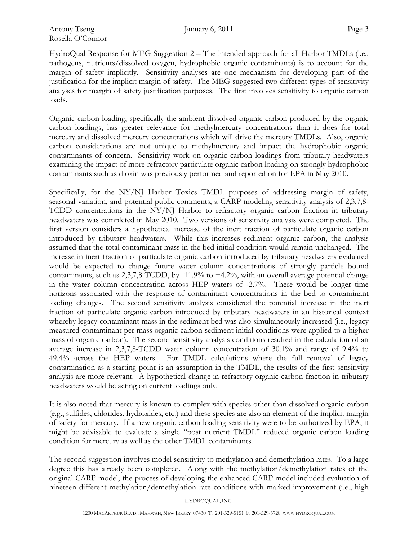HydroQual Response for MEG Suggestion 2 – The intended approach for all Harbor TMDLs (i.e., pathogens, nutrients/dissolved oxygen, hydrophobic organic contaminants) is to account for the margin of safety implicitly. Sensitivity analyses are one mechanism for developing part of the justification for the implicit margin of safety. The MEG suggested two different types of sensitivity analyses for margin of safety justification purposes. The first involves sensitivity to organic carbon loads.

Organic carbon loading, specifically the ambient dissolved organic carbon produced by the organic carbon loadings, has greater relevance for methylmercury concentrations than it does for total mercury and dissolved mercury concentrations which will drive the mercury TMDLs. Also, organic carbon considerations are not unique to methylmercury and impact the hydrophobic organic contaminants of concern. Sensitivity work on organic carbon loadings from tributary headwaters examining the impact of more refractory particulate organic carbon loading on strongly hydrophobic contaminants such as dioxin was previously performed and reported on for EPA in May 2010.

Specifically, for the NY/NJ Harbor Toxics TMDL purposes of addressing margin of safety, seasonal variation, and potential public comments, a CARP modeling sensitivity analysis of 2,3,7,8- TCDD concentrations in the NY/NJ Harbor to refractory organic carbon fraction in tributary headwaters was completed in May 2010. Two versions of sensitivity analysis were completed. The first version considers a hypothetical increase of the inert fraction of particulate organic carbon introduced by tributary headwaters. While this increases sediment organic carbon, the analysis assumed that the total contaminant mass in the bed initial condition would remain unchanged. The increase in inert fraction of particulate organic carbon introduced by tributary headwaters evaluated would be expected to change future water column concentrations of strongly particle bound contaminants, such as  $2,3,7,8$ -TCDD, by -11.9% to  $+4.2%$ , with an overall average potential change in the water column concentration across HEP waters of -2.7%. There would be longer time horizons associated with the response of contaminant concentrations in the bed to contaminant loading changes. The second sensitivity analysis considered the potential increase in the inert fraction of particulate organic carbon introduced by tributary headwaters in an historical context whereby legacy contaminant mass in the sediment bed was also simultaneously increased (i.e., legacy measured contaminant per mass organic carbon sediment initial conditions were applied to a higher mass of organic carbon). The second sensitivity analysis conditions resulted in the calculation of an average increase in 2,3,7,8-TCDD water column concentration of 30.1% and range of 9.4% to 49.4% across the HEP waters. For TMDL calculations where the full removal of legacy contamination as a starting point is an assumption in the TMDL, the results of the first sensitivity analysis are more relevant. A hypothetical change in refractory organic carbon fraction in tributary headwaters would be acting on current loadings only.

It is also noted that mercury is known to complex with species other than dissolved organic carbon (e.g., sulfides, chlorides, hydroxides, etc.) and these species are also an element of the implicit margin of safety for mercury. If a new organic carbon loading sensitivity were to be authorized by EPA, it might be advisable to evaluate a single "post nutrient TMDL" reduced organic carbon loading condition for mercury as well as the other TMDL contaminants.

The second suggestion involves model sensitivity to methylation and demethylation rates. To a large degree this has already been completed. Along with the methylation/demethylation rates of the original CARP model, the process of developing the enhanced CARP model included evaluation of nineteen different methylation/demethylation rate conditions with marked improvement (i.e., high

HYDROQUAL, INC.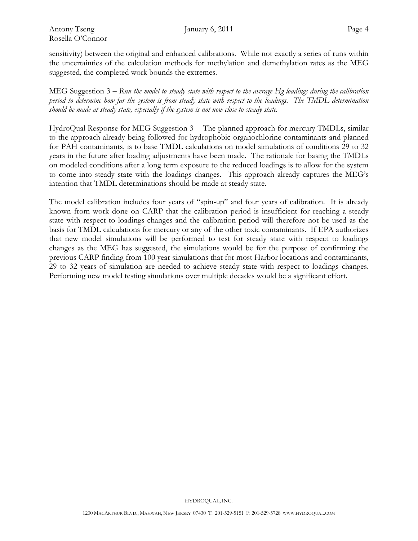sensitivity) between the original and enhanced calibrations. While not exactly a series of runs within the uncertainties of the calculation methods for methylation and demethylation rates as the MEG suggested, the completed work bounds the extremes.

MEG Suggestion  $3 - R$ un the model to steady state with respect to the average Hg loadings during the calibration period to determine how far the system is from steady state with respect to the loadings. The TMDL determination should be made at steady state, especially if the system is not now close to steady state.

HydroQual Response for MEG Suggestion 3 - The planned approach for mercury TMDLs, similar to the approach already being followed for hydrophobic organochlorine contaminants and planned for PAH contaminants, is to base TMDL calculations on model simulations of conditions 29 to 32 years in the future after loading adjustments have been made. The rationale for basing the TMDLs on modeled conditions after a long term exposure to the reduced loadings is to allow for the system to come into steady state with the loadings changes. This approach already captures the MEG's intention that TMDL determinations should be made at steady state.

The model calibration includes four years of "spin-up" and four years of calibration. It is already known from work done on CARP that the calibration period is insufficient for reaching a steady state with respect to loadings changes and the calibration period will therefore not be used as the basis for TMDL calculations for mercury or any of the other toxic contaminants. If EPA authorizes that new model simulations will be performed to test for steady state with respect to loadings changes as the MEG has suggested, the simulations would be for the purpose of confirming the previous CARP finding from 100 year simulations that for most Harbor locations and contaminants, 29 to 32 years of simulation are needed to achieve steady state with respect to loadings changes. Performing new model testing simulations over multiple decades would be a significant effort.